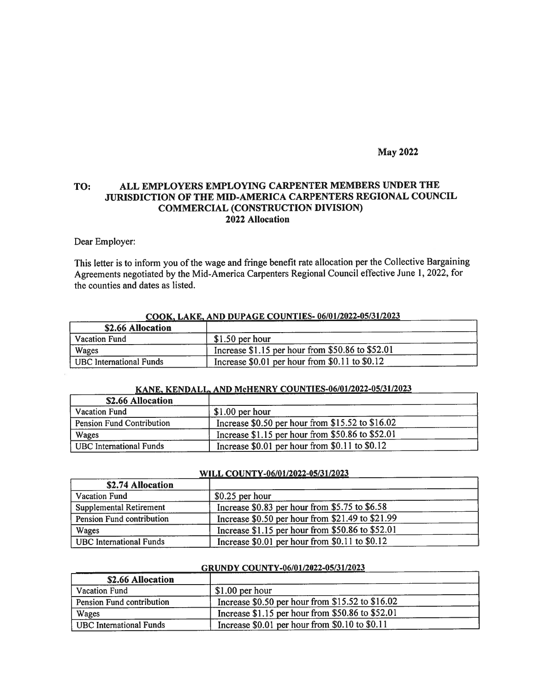## May 2022

## TO: ALL EMPLOYERS EMPLOYING CARPENTER MEMBERS UNDER THE JURISDICTION OF THE MID-AMERICA CARPENTERS REGIONAL COUNCIL COMMERCIAL (CONSTRUCTION DIVISION) 2022 AJlocation

### Dear Employer:

This letter is to inform you of the wage and fringe benefit rate allocation per the Collective Bargaining Agreements negotiated by the Mid-America Carpenters Regional Council effective June 1, 2022, for the counties and dates as listed.

| \$2.66 Allocation       |                                                   |
|-------------------------|---------------------------------------------------|
| <b>Vacation Fund</b>    | $$1.50$ per hour                                  |
| Wages                   | Increase $$1.15$ per hour from \$50.86 to \$52.01 |
| UBC International Funds | Increase $$0.01$ per hour from $$0.11$ to $$0.12$ |

### COOK. LAKE. AND DUPAGE COUNTIES- 06/01/2022-05/31/2023

#### KANE, KENDALL, AND McHENRY COUNTIES-06/01/2022-05/31/2023

| \$2.66 Allocation                |                                                     |  |
|----------------------------------|-----------------------------------------------------|--|
| <b>Vacation Fund</b>             | $$1.00$ per hour                                    |  |
| <b>Pension Fund Contribution</b> | Increase $$0.50$ per hour from $$15.52$ to $$16.02$ |  |
| Wages                            | Increase \$1.15 per hour from \$50.86 to \$52.01    |  |
| <b>UBC</b> International Funds   | Increase $$0.01$ per hour from $$0.11$ to $$0.12$   |  |

#### WILL COUNTY-06/01/2022-05/31/2023

| \$2.74 Allocation              |                                                  |  |
|--------------------------------|--------------------------------------------------|--|
| <b>Vacation Fund</b>           | $$0.25$ per hour                                 |  |
| Supplemental Retirement        | Increase \$0.83 per hour from \$5.75 to \$6.58   |  |
| Pension Fund contribution      | Increase \$0.50 per hour from \$21.49 to \$21.99 |  |
| Wages                          | Increase \$1.15 per hour from \$50.86 to \$52.01 |  |
| <b>UBC</b> International Funds | Increase \$0.01 per hour from \$0.11 to \$0.12   |  |

### GRUNDY COUNTY-06/01/2022-05/31/2023

| \$2.66 Allocation         |                                                     |  |
|---------------------------|-----------------------------------------------------|--|
| <b>Vacation Fund</b>      | $$1.00$ per hour                                    |  |
| Pension Fund contribution | Increase $$0.50$ per hour from $$15.52$ to $$16.02$ |  |
| Wages                     | Increase \$1.15 per hour from \$50.86 to \$52.01    |  |
| UBC International Funds   | Increase $$0.01$ per hour from $$0.10$ to $$0.11$   |  |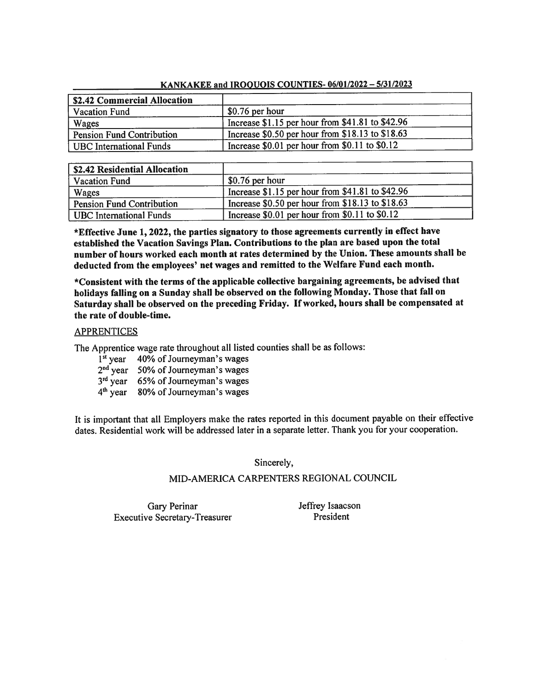| \$2.42 Commercial Allocation |                                                   |
|------------------------------|---------------------------------------------------|
| <b>Vacation Fund</b>         | $$0.76$ per hour                                  |
| Wages                        | Increase \$1.15 per hour from \$41.81 to \$42.96  |
| Pension Fund Contribution    | Increase \$0.50 per hour from \$18.13 to \$18.63  |
| UBC International Funds      | Increase $$0.01$ per hour from $$0.11$ to $$0.12$ |

## KANKAKEE and IROOUOIS COUNTIES- 06/01/2022 — 5/31/2023

| \$2.42 Residential Allocation    |                                                     |
|----------------------------------|-----------------------------------------------------|
| <b>Vacation Fund</b>             | $$0.76$ per hour                                    |
| Wages                            | Increase $$1.15$ per hour from $$41.81$ to $$42.96$ |
| <b>Pension Fund Contribution</b> | Increase $$0.50$ per hour from $$18.13$ to $$18.63$ |
| <b>UBC</b> International Funds   | Increase $$0.01$ per hour from $$0.11$ to $$0.12$   |

\*Effective June 1, 2022, the parties signatory to those agreements currently in effect have established the Vacation Savings Plan. Contributions to the <sup>p</sup>lan are based upon the total number of hours worked each month at rates determined by the Union. These amounts shall be deducted from the employees' net wages and remitted to the Welfare Fund each month.

\*Consistent with the terms of the applicable collective bargaining agreements, be advised that holidays falling on <sup>a</sup> Sunday shall be observed on the following Monday. Those that fall on Saturday shall be observed on the preceding Friday. If worked, hours shall be compensated at the rate of double-time.

## **APPRENTICES**

The Apprentice wage rate throughout all listed counties shall be as follows:

- 1<sup>st</sup> year 40% of Journeyman's wages
- 2<sup>nd</sup> year 50% of Journeyman's wages
- 3<sup>rd</sup> year 65% of Journeyman's wages
- 4<sup>th</sup> year 80% of Journeyman's wages

It is important that all Employers make the rates reported in this document payable on their effective dates. Residential work will be addressed later in <sup>a</sup> separate letter. Thank you for your cooperation.

Sincerely,

# MID-AMERICA CARPENTERS REGIONAL COUNCIL

Gary Perinar Executive Secretary-Treasurer Jeffrey Isaacson President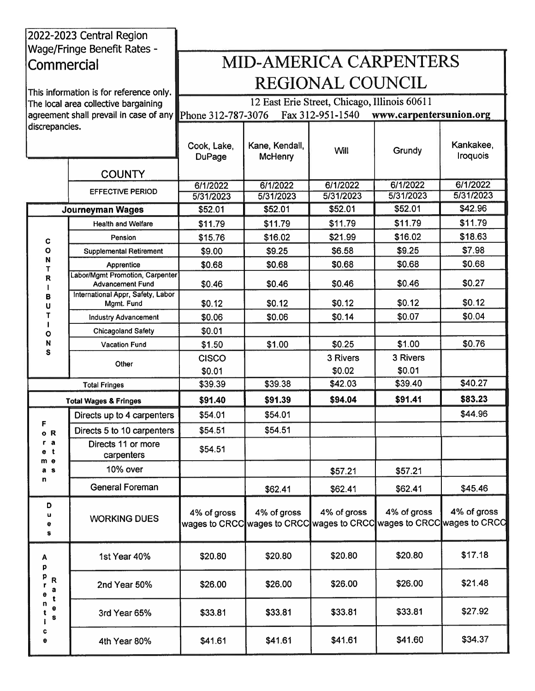|                     | 2022-2023 Central Region<br><b>Wage/Fringe Benefit Rates -</b> |                              |                                  |                                                                                      |                         |                              |
|---------------------|----------------------------------------------------------------|------------------------------|----------------------------------|--------------------------------------------------------------------------------------|-------------------------|------------------------------|
| Commercial          |                                                                |                              |                                  | <b>MID-AMERICA CARPENTERS</b>                                                        |                         |                              |
|                     |                                                                |                              |                                  |                                                                                      |                         |                              |
|                     | This information is for reference only.                        |                              |                                  | <b>REGIONAL COUNCIL</b>                                                              |                         |                              |
|                     | The local area collective bargaining                           |                              |                                  | 12 East Erie Street, Chicago, Illinois 60611                                         |                         |                              |
| discrepancies.      | agreement shall prevail in case of any                         | Phone 312-787-3076           |                                  | Fax 312-951-1540                                                                     | www.carpentersunion.org |                              |
|                     |                                                                | Cook, Lake,<br><b>DuPage</b> | Kane, Kendall,<br><b>McHenry</b> | Will                                                                                 | Grundy                  | Kankakee,<br><b>Iroquois</b> |
|                     | <b>COUNTY</b>                                                  |                              |                                  |                                                                                      |                         |                              |
|                     | <b>EFFECTIVE PERIOD</b>                                        | 6/1/2022                     | 6/1/2022                         | 6/1/2022                                                                             | 6/1/2022                | 6/1/2022                     |
|                     |                                                                | 5/31/2023<br>\$52.01         | 5/31/2023<br>\$52.01             | 5/31/2023<br>\$52.01                                                                 | 5/31/2023<br>\$52.01    | 5/31/2023<br>\$42.96         |
|                     | Journeyman Wages<br><b>Health and Welfare</b>                  | \$11.79                      | \$11.79                          | \$11.79                                                                              | \$11.79                 | \$11.79                      |
|                     | Pension                                                        | \$15.76                      | \$16.02                          | \$21.99                                                                              | \$16.02                 | \$18.63                      |
| C<br>$\circ$        | <b>Supplemental Retirement</b>                                 | \$9.00                       | \$9.25                           | \$6.58                                                                               | \$9.25                  | \$7.98                       |
| N<br>T              | Apprentice                                                     | \$0.68                       | \$0.68                           | \$0.68                                                                               | \$0.68                  | \$0.68                       |
| R                   | Labor/Mgmt Promotion, Carpenter<br><b>Advancement Fund</b>     | \$0.46                       | \$0.46                           | \$0.46                                                                               | \$0.46                  | \$0.27                       |
| В<br>U              | International Appr, Safety, Labor<br>Mgmt. Fund                | \$0.12                       | \$0.12                           | \$0.12                                                                               | \$0.12                  | \$0.12                       |
| т                   | <b>Industry Advancement</b>                                    | \$0.06                       | \$0.06                           | \$0.14                                                                               | \$0.07                  | \$0.04                       |
| Ο                   | <b>Chicagoland Safety</b>                                      | \$0.01                       |                                  |                                                                                      |                         |                              |
| N                   | <b>Vacation Fund</b>                                           | \$1.50                       | \$1.00                           | \$0.25                                                                               | \$1.00                  | \$0.76                       |
| S                   | Other                                                          | <b>CISCO</b>                 |                                  | 3 Rivers                                                                             | 3 Rivers                |                              |
|                     |                                                                | \$0.01                       |                                  | \$0.02                                                                               | \$0.01                  |                              |
|                     | <b>Total Fringes</b>                                           | \$39.39                      | \$39.38                          | \$42.03                                                                              | \$39.40                 | \$40.27                      |
|                     | <b>Total Wages &amp; Fringes</b>                               | \$91.40                      | \$91.39                          | \$94.04                                                                              | \$91.41                 | \$83.23                      |
| F                   | Directs up to 4 carpenters                                     | \$54.01                      | \$54.01                          |                                                                                      |                         | \$44.96                      |
| o R                 | Directs 5 to 10 carpenters                                     | \$54.51                      | \$54.51                          |                                                                                      |                         |                              |
| r a<br>$e$ t<br>m e | Directs 11 or more<br>carpenters                               | \$54.51                      |                                  |                                                                                      |                         |                              |
| a s                 | 10% over                                                       |                              |                                  | \$57.21                                                                              | \$57.21                 |                              |
| n                   | <b>General Foreman</b>                                         |                              | \$62.41                          | \$62.41                                                                              | \$62.41                 | \$45.46                      |
| D<br>u<br>۰<br>s    | <b>WORKING DUES</b>                                            | 4% of gross                  | 4% of gross                      | 4% of gross<br>wages to CRCC wages to CRCC wages to CRCC wages to CRCC wages to CRCC | 4% of gross             | 4% of gross                  |
| A<br>p              | 1st Year 40%                                                   | \$20.80                      | \$20.80                          | \$20.80                                                                              | \$20.80                 | \$17.18                      |
| R<br>a              | 2nd Year 50%                                                   | \$26.00                      | \$26.00                          | \$26.00                                                                              | \$26.00                 | \$21.48                      |
| t<br>n<br>e<br>S    | 3rd Year 65%                                                   | \$33.81                      | \$33.81                          | \$33.81                                                                              | \$33.81                 | \$27.92                      |
| c<br>e              | 4th Year 80%                                                   | \$41.61                      | \$41.61                          | \$41.61                                                                              | \$41.60                 | \$34.37                      |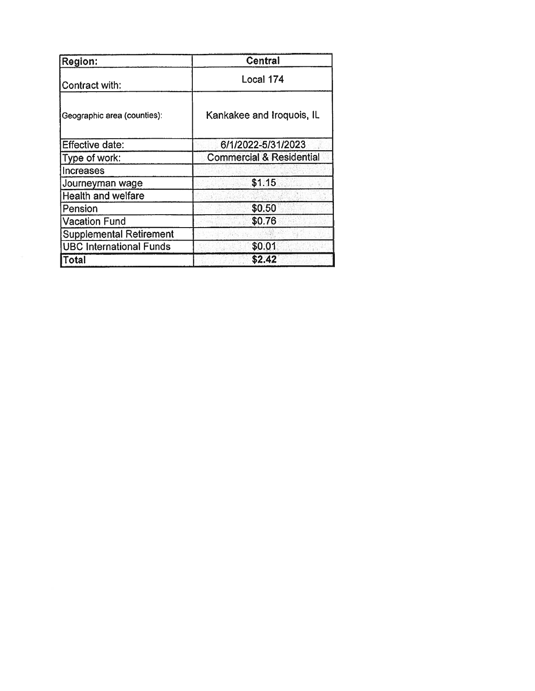| Region:                        | <b>Central</b>                      |
|--------------------------------|-------------------------------------|
| Contract with:                 | Local 174                           |
| Geographic area (counties):    | Kankakee and Iroquois, IL           |
| Effective date:                | 6/1/2022-5/31/2023                  |
| Type of work:                  | <b>Commercial &amp; Residential</b> |
| <b>Increases</b>               |                                     |
| Journeyman wage                | \$1.15                              |
| Health and welfare             |                                     |
| Pension                        | \$0.50                              |
| <b>Vacation Fund</b>           | \$0.76                              |
| <b>Supplemental Retirement</b> |                                     |
| <b>UBC International Funds</b> | \$0.01                              |
| <b>Total</b>                   | \$2.42                              |